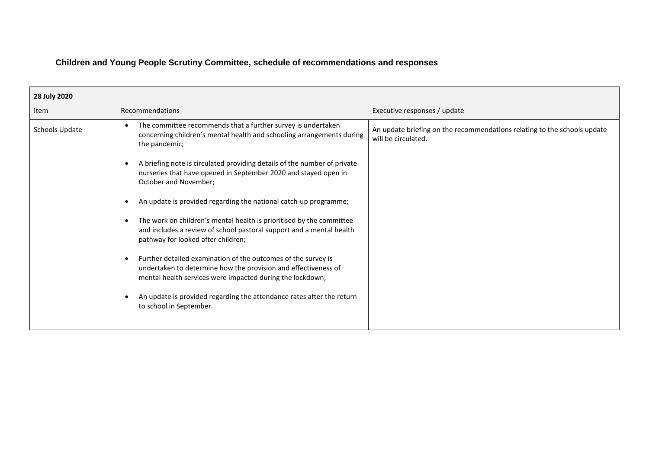## **Children and Young People Scrutiny Committee, schedule of recommendations and responses**

| 28 July 2020   |                                                                                                                                                                                                                                                                                                                                                                                                                                                                                                                                                                                                                                                                                                                                                                                                                                                                                                                                     |                                                                                                 |
|----------------|-------------------------------------------------------------------------------------------------------------------------------------------------------------------------------------------------------------------------------------------------------------------------------------------------------------------------------------------------------------------------------------------------------------------------------------------------------------------------------------------------------------------------------------------------------------------------------------------------------------------------------------------------------------------------------------------------------------------------------------------------------------------------------------------------------------------------------------------------------------------------------------------------------------------------------------|-------------------------------------------------------------------------------------------------|
| Item           | Recommendations                                                                                                                                                                                                                                                                                                                                                                                                                                                                                                                                                                                                                                                                                                                                                                                                                                                                                                                     | Executive responses / update                                                                    |
| Schools Update | The committee recommends that a further survey is undertaken<br>$\bullet$<br>concerning children's mental health and schooling arrangements during<br>the pandemic;<br>A briefing note is circulated providing details of the number of private<br>nurseries that have opened in September 2020 and stayed open in<br>October and November;<br>An update is provided regarding the national catch-up programme;<br>The work on children's mental health is prioritised by the committee<br>$\bullet$<br>and includes a review of school pastoral support and a mental health<br>pathway for looked after children;<br>Further detailed examination of the outcomes of the survey is<br>$\bullet$<br>undertaken to determine how the provision and effectiveness of<br>mental health services were impacted during the lockdown;<br>An update is provided regarding the attendance rates after the return<br>to school in September. | An update briefing on the recommendations relating to the schools update<br>will be circulated. |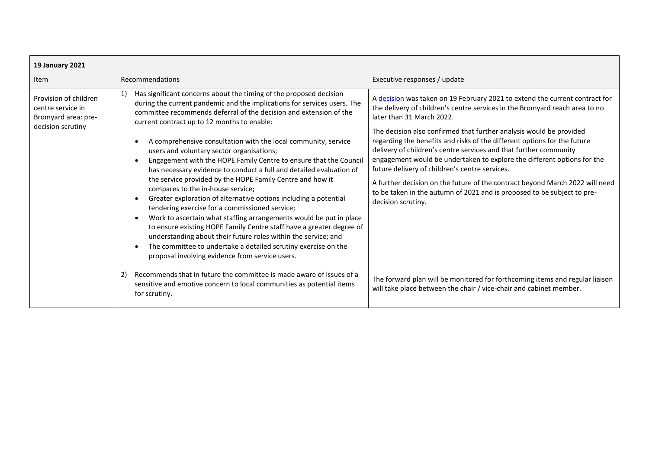| <b>19 January 2021</b>                                                                 |                                                                                                                                                                                                                                                                                                                                                                                                                                                                                                                                                                                                                                                                                                                                                                 |                                                                                                                                                                                                                                                                                                                                                                                 |
|----------------------------------------------------------------------------------------|-----------------------------------------------------------------------------------------------------------------------------------------------------------------------------------------------------------------------------------------------------------------------------------------------------------------------------------------------------------------------------------------------------------------------------------------------------------------------------------------------------------------------------------------------------------------------------------------------------------------------------------------------------------------------------------------------------------------------------------------------------------------|---------------------------------------------------------------------------------------------------------------------------------------------------------------------------------------------------------------------------------------------------------------------------------------------------------------------------------------------------------------------------------|
| <b>Item</b>                                                                            | Recommendations                                                                                                                                                                                                                                                                                                                                                                                                                                                                                                                                                                                                                                                                                                                                                 | Executive responses / update                                                                                                                                                                                                                                                                                                                                                    |
| Provision of children<br>centre service in<br>Bromyard area: pre-<br>decision scrutiny | Has significant concerns about the timing of the proposed decision<br>1)<br>during the current pandemic and the implications for services users. The<br>committee recommends deferral of the decision and extension of the<br>current contract up to 12 months to enable:<br>A comprehensive consultation with the local community, service                                                                                                                                                                                                                                                                                                                                                                                                                     | A decision was taken on 19 February 2021 to extend the current contract for<br>the delivery of children's centre services in the Bromyard reach area to no<br>later than 31 March 2022.<br>The decision also confirmed that further analysis would be provided<br>regarding the benefits and risks of the different options for the future                                      |
|                                                                                        | users and voluntary sector organisations;<br>Engagement with the HOPE Family Centre to ensure that the Council<br>has necessary evidence to conduct a full and detailed evaluation of<br>the service provided by the HOPE Family Centre and how it<br>compares to the in-house service;<br>Greater exploration of alternative options including a potential<br>tendering exercise for a commissioned service;<br>Work to ascertain what staffing arrangements would be put in place<br>$\bullet$<br>to ensure existing HOPE Family Centre staff have a greater degree of<br>understanding about their future roles within the service; and<br>The committee to undertake a detailed scrutiny exercise on the<br>proposal involving evidence from service users. | delivery of children's centre services and that further community<br>engagement would be undertaken to explore the different options for the<br>future delivery of children's centre services.<br>A further decision on the future of the contract beyond March 2022 will need<br>to be taken in the autumn of 2021 and is proposed to be subject to pre-<br>decision scrutiny. |
|                                                                                        | Recommends that in future the committee is made aware of issues of a<br>2)<br>sensitive and emotive concern to local communities as potential items<br>for scrutiny.                                                                                                                                                                                                                                                                                                                                                                                                                                                                                                                                                                                            | The forward plan will be monitored for forthcoming items and regular liaison<br>will take place between the chair / vice-chair and cabinet member.                                                                                                                                                                                                                              |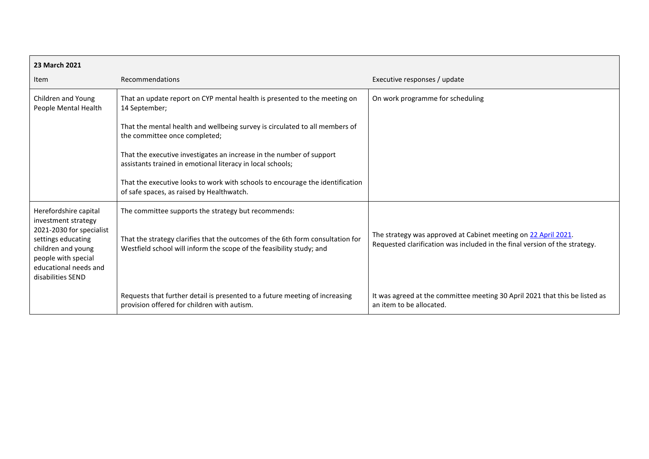| 23 March 2021                                                                                                                                                                             |                                                                                                                                                                                                               |                                                                                                                                              |
|-------------------------------------------------------------------------------------------------------------------------------------------------------------------------------------------|---------------------------------------------------------------------------------------------------------------------------------------------------------------------------------------------------------------|----------------------------------------------------------------------------------------------------------------------------------------------|
| Item                                                                                                                                                                                      | Recommendations                                                                                                                                                                                               | Executive responses / update                                                                                                                 |
| Children and Young<br>People Mental Health                                                                                                                                                | That an update report on CYP mental health is presented to the meeting on<br>14 September;                                                                                                                    | On work programme for scheduling                                                                                                             |
|                                                                                                                                                                                           | That the mental health and wellbeing survey is circulated to all members of<br>the committee once completed;                                                                                                  |                                                                                                                                              |
|                                                                                                                                                                                           | That the executive investigates an increase in the number of support<br>assistants trained in emotional literacy in local schools;                                                                            |                                                                                                                                              |
|                                                                                                                                                                                           | That the executive looks to work with schools to encourage the identification<br>of safe spaces, as raised by Healthwatch.                                                                                    |                                                                                                                                              |
| Herefordshire capital<br>investment strategy<br>2021-2030 for specialist<br>settings educating<br>children and young<br>people with special<br>educational needs and<br>disabilities SEND | The committee supports the strategy but recommends:<br>That the strategy clarifies that the outcomes of the 6th form consultation for<br>Westfield school will inform the scope of the feasibility study; and | The strategy was approved at Cabinet meeting on 22 April 2021.<br>Requested clarification was included in the final version of the strategy. |
|                                                                                                                                                                                           | Requests that further detail is presented to a future meeting of increasing<br>provision offered for children with autism.                                                                                    | It was agreed at the committee meeting 30 April 2021 that this be listed as<br>an item to be allocated.                                      |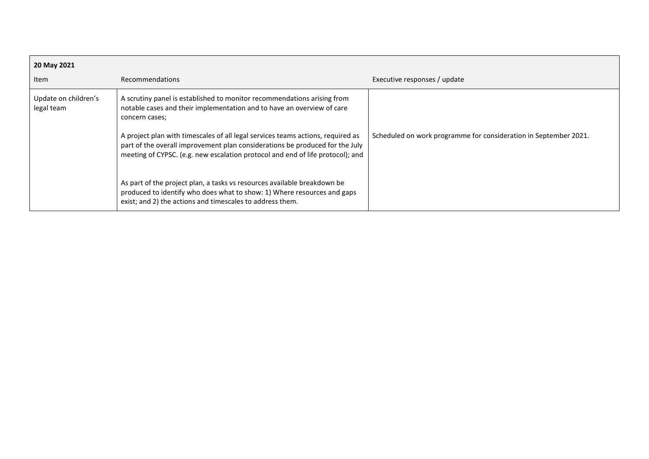| 20 May 2021                        |                                                                                                                                                                                                                                                                                                                                                                                                                                                                                                                                                                                 |                                                                  |
|------------------------------------|---------------------------------------------------------------------------------------------------------------------------------------------------------------------------------------------------------------------------------------------------------------------------------------------------------------------------------------------------------------------------------------------------------------------------------------------------------------------------------------------------------------------------------------------------------------------------------|------------------------------------------------------------------|
| Item                               | <b>Recommendations</b>                                                                                                                                                                                                                                                                                                                                                                                                                                                                                                                                                          | Executive responses / update                                     |
| Update on children's<br>legal team | A scrutiny panel is established to monitor recommendations arising from<br>notable cases and their implementation and to have an overview of care<br>concern cases;<br>A project plan with timescales of all legal services teams actions, required as<br>part of the overall improvement plan considerations be produced for the July<br>meeting of CYPSC. (e.g. new escalation protocol and end of life protocol); and<br>As part of the project plan, a tasks vs resources available breakdown be<br>produced to identify who does what to show: 1) Where resources and gaps | Scheduled on work programme for consideration in September 2021. |
|                                    | exist; and 2) the actions and timescales to address them.                                                                                                                                                                                                                                                                                                                                                                                                                                                                                                                       |                                                                  |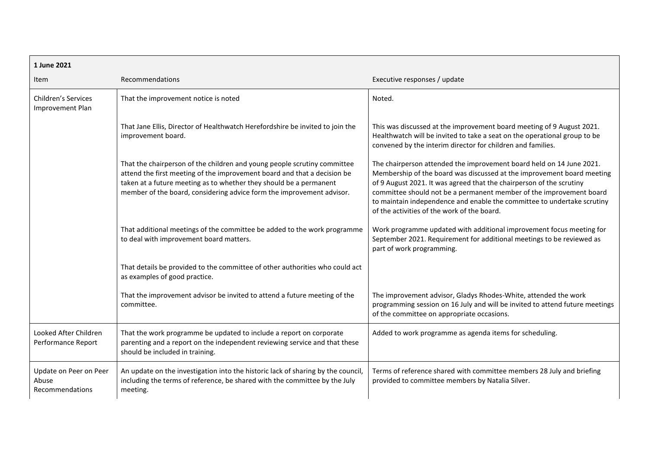| 1 June 2021                                        |                                                                                                                                                                                                                                                                                                     |                                                                                                                                                                                                                                                                                                                                                                                                                         |
|----------------------------------------------------|-----------------------------------------------------------------------------------------------------------------------------------------------------------------------------------------------------------------------------------------------------------------------------------------------------|-------------------------------------------------------------------------------------------------------------------------------------------------------------------------------------------------------------------------------------------------------------------------------------------------------------------------------------------------------------------------------------------------------------------------|
| Item                                               | Recommendations                                                                                                                                                                                                                                                                                     | Executive responses / update                                                                                                                                                                                                                                                                                                                                                                                            |
| Children's Services<br>Improvement Plan            | That the improvement notice is noted                                                                                                                                                                                                                                                                | Noted.                                                                                                                                                                                                                                                                                                                                                                                                                  |
|                                                    | That Jane Ellis, Director of Healthwatch Herefordshire be invited to join the<br>improvement board.                                                                                                                                                                                                 | This was discussed at the improvement board meeting of 9 August 2021.<br>Healthwatch will be invited to take a seat on the operational group to be<br>convened by the interim director for children and families.                                                                                                                                                                                                       |
|                                                    | That the chairperson of the children and young people scrutiny committee<br>attend the first meeting of the improvement board and that a decision be<br>taken at a future meeting as to whether they should be a permanent<br>member of the board, considering advice form the improvement advisor. | The chairperson attended the improvement board held on 14 June 2021.<br>Membership of the board was discussed at the improvement board meeting<br>of 9 August 2021. It was agreed that the chairperson of the scrutiny<br>committee should not be a permanent member of the improvement board<br>to maintain independence and enable the committee to undertake scrutiny<br>of the activities of the work of the board. |
|                                                    | That additional meetings of the committee be added to the work programme<br>to deal with improvement board matters.                                                                                                                                                                                 | Work programme updated with additional improvement focus meeting for<br>September 2021. Requirement for additional meetings to be reviewed as<br>part of work programming.                                                                                                                                                                                                                                              |
|                                                    | That details be provided to the committee of other authorities who could act<br>as examples of good practice.                                                                                                                                                                                       |                                                                                                                                                                                                                                                                                                                                                                                                                         |
|                                                    | That the improvement advisor be invited to attend a future meeting of the<br>committee.                                                                                                                                                                                                             | The improvement advisor, Gladys Rhodes-White, attended the work<br>programming session on 16 July and will be invited to attend future meetings<br>of the committee on appropriate occasions.                                                                                                                                                                                                                           |
| Looked After Children<br>Performance Report        | That the work programme be updated to include a report on corporate<br>parenting and a report on the independent reviewing service and that these<br>should be included in training.                                                                                                                | Added to work programme as agenda items for scheduling.                                                                                                                                                                                                                                                                                                                                                                 |
| Update on Peer on Peer<br>Abuse<br>Recommendations | An update on the investigation into the historic lack of sharing by the council,<br>including the terms of reference, be shared with the committee by the July<br>meeting.                                                                                                                          | Terms of reference shared with committee members 28 July and briefing<br>provided to committee members by Natalia Silver.                                                                                                                                                                                                                                                                                               |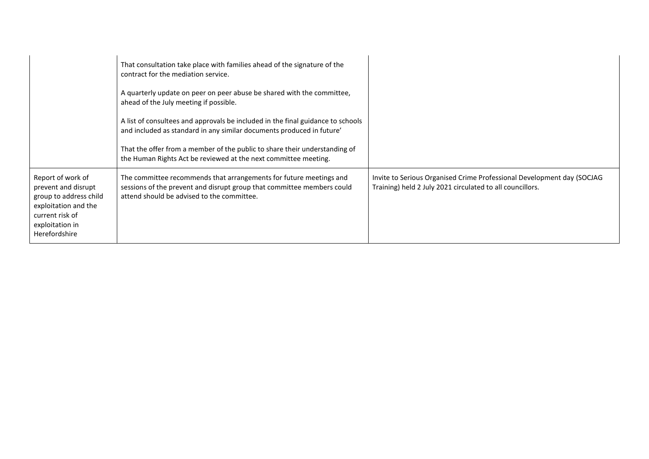|                                                                                                                                                   | That consultation take place with families ahead of the signature of the<br>contract for the mediation service.<br>A quarterly update on peer on peer abuse be shared with the committee,<br>ahead of the July meeting if possible.<br>A list of consultees and approvals be included in the final guidance to schools<br>and included as standard in any similar documents produced in future'<br>That the offer from a member of the public to share their understanding of<br>the Human Rights Act be reviewed at the next committee meeting. |                                                                                                                                     |
|---------------------------------------------------------------------------------------------------------------------------------------------------|--------------------------------------------------------------------------------------------------------------------------------------------------------------------------------------------------------------------------------------------------------------------------------------------------------------------------------------------------------------------------------------------------------------------------------------------------------------------------------------------------------------------------------------------------|-------------------------------------------------------------------------------------------------------------------------------------|
| Report of work of<br>prevent and disrupt<br>group to address child<br>exploitation and the<br>current risk of<br>exploitation in<br>Herefordshire | The committee recommends that arrangements for future meetings and<br>sessions of the prevent and disrupt group that committee members could<br>attend should be advised to the committee.                                                                                                                                                                                                                                                                                                                                                       | Invite to Serious Organised Crime Professional Development day (SOCJAG<br>Training) held 2 July 2021 circulated to all councillors. |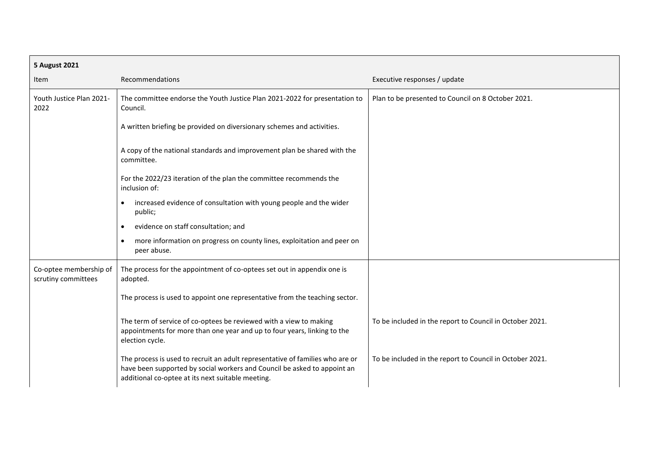| <b>5 August 2021</b>                          |                                                                                                                                                                                                                |                                                          |
|-----------------------------------------------|----------------------------------------------------------------------------------------------------------------------------------------------------------------------------------------------------------------|----------------------------------------------------------|
| Item                                          | Recommendations                                                                                                                                                                                                | Executive responses / update                             |
| Youth Justice Plan 2021-<br>2022              | The committee endorse the Youth Justice Plan 2021-2022 for presentation to<br>Council.                                                                                                                         | Plan to be presented to Council on 8 October 2021.       |
|                                               | A written briefing be provided on diversionary schemes and activities.                                                                                                                                         |                                                          |
|                                               | A copy of the national standards and improvement plan be shared with the<br>committee.                                                                                                                         |                                                          |
|                                               | For the 2022/23 iteration of the plan the committee recommends the<br>inclusion of:                                                                                                                            |                                                          |
|                                               | increased evidence of consultation with young people and the wider<br>٠<br>public;                                                                                                                             |                                                          |
|                                               | evidence on staff consultation; and<br>$\bullet$                                                                                                                                                               |                                                          |
|                                               | more information on progress on county lines, exploitation and peer on<br>peer abuse.                                                                                                                          |                                                          |
| Co-optee membership of<br>scrutiny committees | The process for the appointment of co-optees set out in appendix one is<br>adopted.                                                                                                                            |                                                          |
|                                               | The process is used to appoint one representative from the teaching sector.                                                                                                                                    |                                                          |
|                                               | The term of service of co-optees be reviewed with a view to making<br>appointments for more than one year and up to four years, linking to the<br>election cycle.                                              | To be included in the report to Council in October 2021. |
|                                               | The process is used to recruit an adult representative of families who are or<br>have been supported by social workers and Council be asked to appoint an<br>additional co-optee at its next suitable meeting. | To be included in the report to Council in October 2021. |